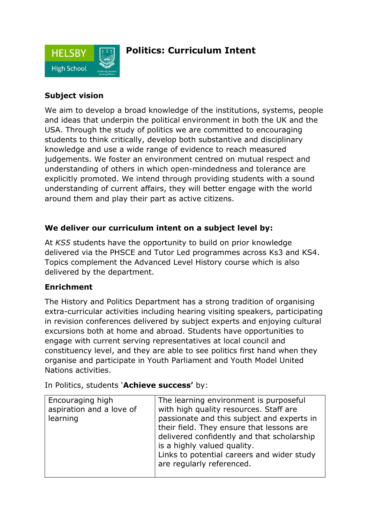

## **Politics: Curriculum Intent**

### **Subject vision**

We aim to develop a broad knowledge of the institutions, systems, people and ideas that underpin the political environment in both the UK and the USA. Through the study of politics we are committed to encouraging students to think critically, develop both substantive and disciplinary knowledge and use a wide range of evidence to reach measured judgements. We foster an environment centred on mutual respect and understanding of others in which open-mindedness and tolerance are explicitly promoted. We intend through providing students with a sound understanding of current affairs, they will better engage with the world around them and play their part as active citizens.

### **We deliver our curriculum intent on a subject level by:**

At *KS5* students have the opportunity to build on prior knowledge delivered via the PHSCE and Tutor Led programmes across Ks3 and KS4. Topics complement the Advanced Level History course which is also delivered by the department.

### **Enrichment**

The History and Politics Department has a strong tradition of organising extra-curricular activities including hearing visiting speakers, participating in revision conferences delivered by subject experts and enjoying cultural excursions both at home and abroad. Students have opportunities to engage with current serving representatives at local council and constituency level, and they are able to see politics first hand when they organise and participate in Youth Parliament and Youth Model United Nations activities.

In Politics, students '**Achieve success'** by:

| Encouraging high<br>aspiration and a love of<br>learning | The learning environment is purposeful<br>with high quality resources. Staff are<br>passionate and this subject and experts in<br>their field. They ensure that lessons are<br>delivered confidently and that scholarship<br>is a highly valued quality.<br>Links to potential careers and wider study<br>are regularly referenced. |
|----------------------------------------------------------|-------------------------------------------------------------------------------------------------------------------------------------------------------------------------------------------------------------------------------------------------------------------------------------------------------------------------------------|
|                                                          |                                                                                                                                                                                                                                                                                                                                     |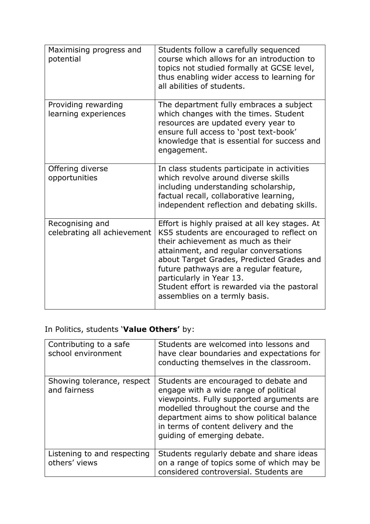| Maximising progress and<br>potential           | Students follow a carefully sequenced<br>course which allows for an introduction to<br>topics not studied formally at GCSE level,<br>thus enabling wider access to learning for<br>all abilities of students.                                                                                                                                                                 |
|------------------------------------------------|-------------------------------------------------------------------------------------------------------------------------------------------------------------------------------------------------------------------------------------------------------------------------------------------------------------------------------------------------------------------------------|
| Providing rewarding<br>learning experiences    | The department fully embraces a subject<br>which changes with the times. Student<br>resources are updated every year to<br>ensure full access to 'post text-book'<br>knowledge that is essential for success and<br>engagement.                                                                                                                                               |
| Offering diverse<br>opportunities              | In class students participate in activities<br>which revolve around diverse skills<br>including understanding scholarship,<br>factual recall, collaborative learning,<br>independent reflection and debating skills.                                                                                                                                                          |
| Recognising and<br>celebrating all achievement | Effort is highly praised at all key stages. At<br>KS5 students are encouraged to reflect on<br>their achievement as much as their<br>attainment, and regular conversations<br>about Target Grades, Predicted Grades and<br>future pathways are a regular feature,<br>particularly in Year 13.<br>Student effort is rewarded via the pastoral<br>assemblies on a termly basis. |

# In Politics, students '**Value Others'** by:

| Contributing to a safe<br>school environment | Students are welcomed into lessons and<br>have clear boundaries and expectations for<br>conducting themselves in the classroom.                                                                                                                                                           |
|----------------------------------------------|-------------------------------------------------------------------------------------------------------------------------------------------------------------------------------------------------------------------------------------------------------------------------------------------|
| Showing tolerance, respect<br>and fairness   | Students are encouraged to debate and<br>engage with a wide range of political<br>viewpoints. Fully supported arguments are<br>modelled throughout the course and the<br>department aims to show political balance<br>in terms of content delivery and the<br>guiding of emerging debate. |
| Listening to and respecting<br>others' views | Students regularly debate and share ideas<br>on a range of topics some of which may be<br>considered controversial. Students are                                                                                                                                                          |